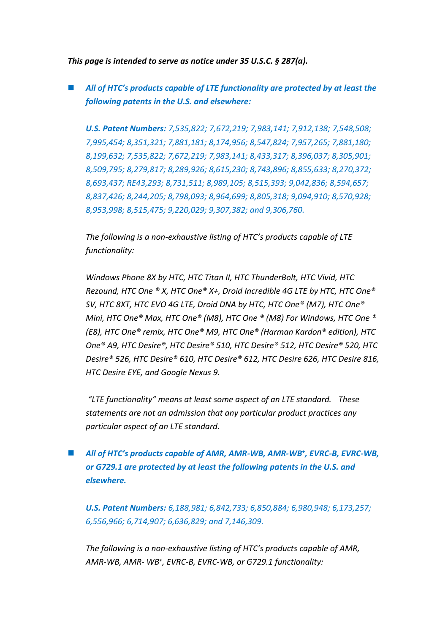*This page is intended to serve as notice under 35 U.S.C. § 287(a).*

 *All of HTC's products capable of LTE functionality are protected by at least the following patents in the U.S. and elsewhere:*

*U.S. Patent Numbers: 7,535,822; 7,672,219; 7,983,141; 7,912,138; 7,548,508; 7,995,454; 8,351,321; 7,881,181; 8,174,956; 8,547,824; 7,957,265; 7,881,180; 8,199,632; 7,535,822; 7,672,219; 7,983,141; 8,433,317; 8,396,037; 8,305,901; 8,509,795; 8,279,817; 8,289,926; 8,615,230; 8,743,896; 8,855,633; 8,270,372; 8,693,437; RE43,293; 8,731,511; 8,989,105; 8,515,393; 9,042,836; 8,594,657; 8,837,426; 8,244,205; 8,798,093; 8,964,699; 8,805,318; 9,094,910; 8,570,928; 8,953,998; 8,515,475; 9,220,029; 9,307,382; and 9,306,760.*

*The following is a non-exhaustive listing of HTC's products capable of LTE functionality:* 

*Windows Phone 8X by HTC, HTC Titan II, HTC ThunderBolt, HTC Vivid, HTC Rezound, HTC One ® X, HTC One® X+, Droid Incredible 4G LTE by HTC, HTC One® SV, HTC 8XT, HTC EVO 4G LTE, Droid DNA by HTC, HTC One® (M7), HTC One® Mini, HTC One® Max, HTC One® (M8), HTC One ® (M8) For Windows, HTC One ® (E8), HTC One® remix, HTC One® M9, HTC One® (Harman Kardon® edition), HTC One® A9, HTC Desire®, HTC Desire® 510, HTC Desire® 512, HTC Desire® 520, HTC Desire® 526, HTC Desire® 610, HTC Desire® 612, HTC Desire 626, HTC Desire 816, HTC Desire EYE, and Google Nexus 9.*

*"LTE functionality" means at least some aspect of an LTE standard. These statements are not an admission that any particular product practices any particular aspect of an LTE standard.*

■ *All of HTC*<sup>*'s products capable of AMR, AMR-WB, AMR-WB<sup>+</sup>, EVRC-B, EVRC-WB,*</sup> *or G729.1 are protected by at least the following patents in the U.S. and elsewhere.*

*U.S. Patent Numbers: 6,188,981; 6,842,733; 6,850,884; 6,980,948; 6,173,257; 6,556,966; 6,714,907; 6,636,829; and 7,146,309.*

*The following is a non-exhaustive listing of HTC's products capable of AMR, AMR-WB, AMR- WB<sup>+</sup> , EVRC-B, EVRC-WB, or G729.1 functionality:*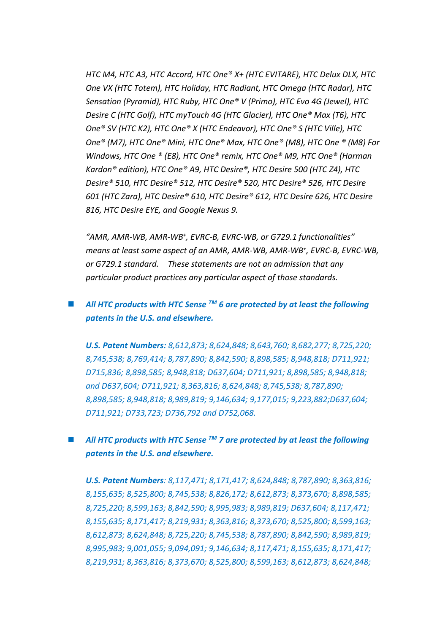*HTC M4, HTC A3, HTC Accord, HTC One® X+ (HTC EVITARE), HTC Delux DLX, HTC One VX (HTC Totem), HTC Holiday, HTC Radiant, HTC Omega (HTC Radar), HTC Sensation (Pyramid), HTC Ruby, HTC One® V (Primo), HTC Evo 4G (Jewel), HTC Desire C (HTC Golf), HTC myTouch 4G (HTC Glacier), HTC One® Max (T6), HTC One® SV (HTC K2), HTC One® X (HTC Endeavor), HTC One® S (HTC Ville), HTC One® (M7), HTC One® Mini, HTC One® Max, HTC One® (M8), HTC One ® (M8) For Windows, HTC One ® (E8), HTC One® remix, HTC One® M9, HTC One® (Harman Kardon® edition), HTC One® A9, HTC Desire®, HTC Desire 500 (HTC Z4), HTC Desire® 510, HTC Desire® 512, HTC Desire® 520, HTC Desire® 526, HTC Desire 601 (HTC Zara), HTC Desire® 610, HTC Desire® 612, HTC Desire 626, HTC Desire 816, HTC Desire EYE, and Google Nexus 9.*

*"AMR, AMR-WB, AMR-WB<sup>+</sup> , EVRC-B, EVRC-WB, or G729.1 functionalities" means at least some aspect of an AMR, AMR-WB, AMR-WB<sup>+</sup> , EVRC-B, EVRC-WB, or G729.1 standard. These statements are not an admission that any particular product practices any particular aspect of those standards.*

## *All HTC products with HTC Sense TM 6 are protected by at least the following patents in the U.S. and elsewhere.*

*U.S. Patent Numbers: 8,612,873; 8,624,848; 8,643,760; 8,682,277; 8,725,220; 8,745,538; 8,769,414; 8,787,890; 8,842,590; 8,898,585; 8,948,818; D711,921; D715,836; 8,898,585; 8,948,818; D637,604; D711,921; 8,898,585; 8,948,818; and D637,604; D711,921; 8,363,816; 8,624,848; 8,745,538; 8,787,890; 8,898,585; 8,948,818; 8,989,819; 9,146,634; 9,177,015; 9,223,882;D637,604; D711,921; D733,723; D736,792 and D752,068.*

## *All HTC products with HTC Sense TM 7 are protected by at least the following patents in the U.S. and elsewhere.*

*U.S. Patent Numbers: 8,117,471; 8,171,417; 8,624,848; 8,787,890; 8,363,816; 8,155,635; 8,525,800; 8,745,538; 8,826,172; 8,612,873; 8,373,670; 8,898,585; 8,725,220; 8,599,163; 8,842,590; 8,995,983; 8,989,819; D637,604; 8,117,471; 8,155,635; 8,171,417; 8,219,931; 8,363,816; 8,373,670; 8,525,800; 8,599,163; 8,612,873; 8,624,848; 8,725,220; 8,745,538; 8,787,890; 8,842,590; 8,989,819; 8,995,983; 9,001,055; 9,094,091; 9,146,634; 8,117,471; 8,155,635; 8,171,417; 8,219,931; 8,363,816; 8,373,670; 8,525,800; 8,599,163; 8,612,873; 8,624,848;*